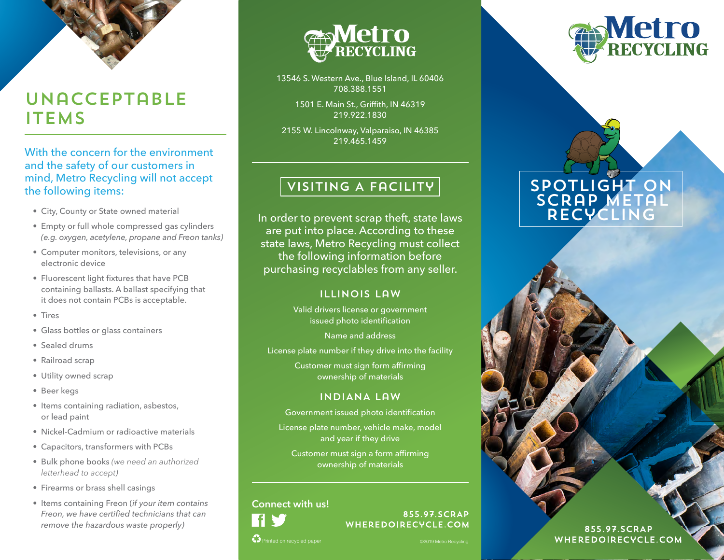# Unacceptable **ITEMS**

With the concern for the environment and the safety of our customers in mind, Metro Recycling will not accept the following items:

- City, County or State owned material
- Empty or full whole compressed gas cylinders *(e.g. oxygen, acetylene, propane and Freon tanks)*
- Computer monitors, televisions, or any electronic device
- Fluorescent light fixtures that have PCB containing ballasts. A ballast specifying that it does not contain PCBs is acceptable.
- Tires
- Glass bottles or glass containers
- Sealed drums
- Railroad scrap
- Utility owned scrap
- Beer kegs
- Items containing radiation, asbestos, or lead paint
- Nickel-Cadmium or radioactive materials
- Capacitors, transformers with PCBs
- Bulk phone books *(we need an authorized letterhead to accept)*
- Firearms or brass shell casings
- Items containing Freon (*if your item contains Freon, we have certified technicians that can remove the hazardous waste properly)*



13546 S. Western Ave., Blue Island, IL 60406 708.388.1551

> 1501 E. Main St., Griffith, IN 46319 219.922.1830

2155 W. Lincolnway, Valparaiso, IN 46385 219.465.1459

## VISITING A FACILITY

In order to prevent scrap theft, state laws are put into place. According to these state laws, Metro Recycling must collect the following information before purchasing recyclables from any seller.

#### Illinois Law

Valid drivers license or government issued photo identification

Name and address

License plate number if they drive into the facility

Customer must sign form affirming ownership of materials

#### INDIANA Law

Government issued photo identification

License plate number, vehicle make, model and year if they drive

Customer must sign a form affirming ownership of materials

#### **Connect with us!**



855.97.SCRAP WHEREDOIRECYCLE.COM

Printed on recycled paper



# SPOTLIGHT ON SCRAP METAL Recycling

855.97.SCRAP WHEREDOIRECYCLE.COM